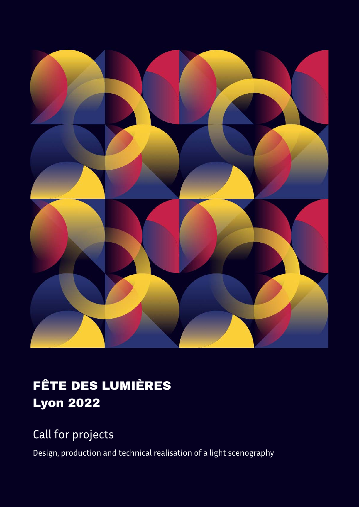

### FÊTE DES LUMIÈRES Lyon 2022

### Call for projects

Design, production and technical realisation of a light scenography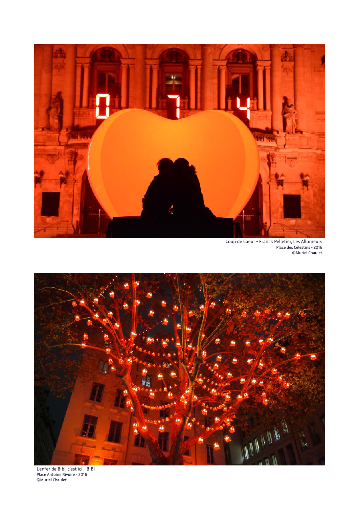

Coup de Coeur - Franck Pelletier, Les Allumeurs Place des Célestins - 2016 ©Muriel Chaulet



L'enfer de Bibi, c'est ici - BIBI Place Antoine Rivoire - 2016 ©Muriel Chaulet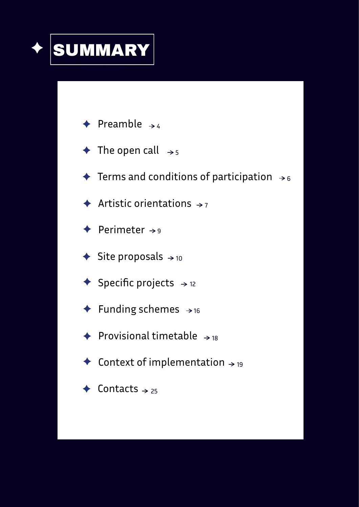

- Preamble  $\rightarrow$  4
- The open call  $\, \rightarrow_{\, 5}$
- Terms and conditions of participation  $\, \rightarrow_{\, 6} \,$
- Artistic orientations  $\rightarrow$  7
- Perimeter  $\rightarrow$ 9
- Site proposals  $\rightarrow$  10
- Specific projects  $\rightarrow$  12
- Funding schemes  $\rightarrow$  16
- Provisional timetable  $\rightarrow$  18
- Context of implementation  $\rightarrow$  19
- Contacts  $\rightarrow$  25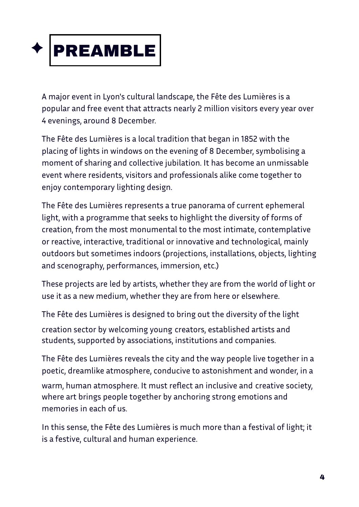

A major event in Lyon's cultural landscape, the Fête des Lumières is a popular and free event that attracts nearly 2 million visitors every year over 4 evenings, around 8 December.

The Fête des Lumières is a local tradition that began in 1852 with the placing of lights in windows on the evening of 8 December, symbolising a moment of sharing and collective jubilation. It has become an unmissable event where residents, visitors and professionals alike come together to enjoy contemporary lighting design.

The Fête des Lumières represents a true panorama of current ephemeral light, with a programme that seeks to highlight the diversity of forms of creation, from the most monumental to the most intimate, contemplative or reactive, interactive, traditional or innovative and technological, mainly outdoors but sometimes indoors (projections, installations, objects, lighting and scenography, performances, immersion, etc.)

These projects are led by artists, whether they are from the world of light or use it as a new medium, whether they are from here or elsewhere.

The Fête des Lumières is designed to bring out the diversity of the light

creation sector by welcoming young creators, established artists and students, supported by associations, institutions and companies.

The Fête des Lumières reveals the city and the way people live together in a poetic, dreamlike atmosphere, conducive to astonishment and wonder, in a

warm, human atmosphere. It must reflect an inclusive and creative society, where art brings people together by anchoring strong emotions and memories in each of us.

In this sense, the Fête des Lumières is much more than a festival of light; it is a festive, cultural and human experience.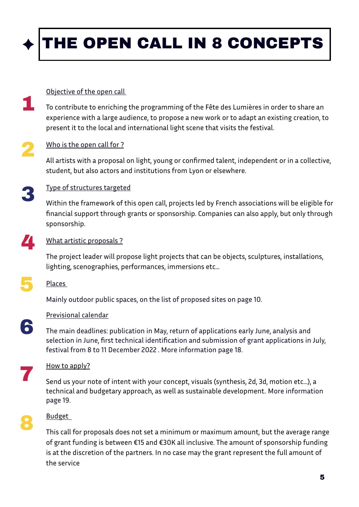

#### Objective of the open call

To contribute to enriching the programming of the Fête des Lumières in order to share an experience with a large audience, to propose a new work or to adapt an existing creation, to present it to the local and international light scene that visits the festival. 1

### Who is the open call for ? 2

All artists with a proposal on light, young or confirmed talent, independent or in a collective, student, but also actors and institutions from Lyon or elsewhere.

3

#### Type of structures targeted

Within the framework of this open call, projects led by French associations will be eligible for financial support through grants or sponsorship. Companies can also apply, but only through sponsorship.

#### What artistic proposals ? 4

The project leader will propose light projects that can be objects, sculptures, installations, lighting, scenographies, performances, immersions etc...

### Places 5

Mainly outdoor public spaces, on the list of proposed sites on page 10.

#### Previsional calendar

The main deadlines: publication in May, return of applications early June, analysis and selection in June, first technical identification and submission of grant applications in July, festival from 8 to 11 December 2022 . More information page 18.

How to apply? 7

Send us your note of intent with your concept, visuals (synthesis, 2d, 3d, motion etc...), a technical and budgetary approach, as well as sustainable development. More information page 19.

8

6

#### Budget

This call for proposals does not set a minimum or maximum amount, but the average range of grant funding is between €15 and €30K all inclusive. The amount of sponsorship funding is at the discretion of the partners. In no case may the grant represent the full amount of the service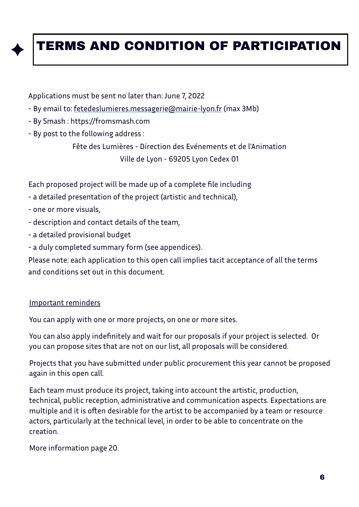### TERMS AND CONDITION OF PARTICIPATION

Applications must be sent no later than: June 7, 2022

- By email to: [fetedeslumieres.messagerie@mairie-lyon.fr](mailto:fetedeslumieres.messagerie@mairie-lyon.fr) (max 3Mb)
- By Smash : https://fromsmash.com
- By post to the following address :

Fête des Lumières - Direction des Evénements et de l'Animation Ville de Lyon - 69205 Lyon Cedex 01

Each proposed project will be made up of a complete file including

- a detailed presentation of the project (artistic and technical),
- one or more visuals,
- description and contact details of the team,
- a detailed provisional budget
- a duly completed summary form (see appendices).

Please note: each application to this open call implies tacit acceptance of all the terms and conditions set out in this document.

#### Important reminders

You can apply with one or more projects, on one or more sites.

You can also apply indefinitely and wait for our proposals if your project is selected. Or you can propose sites that are not on our list, all proposals will be considered.

Projects that you have submitted under public procurement this year cannot be proposed again in this open call.

Each team must produce its project, taking into account the artistic, production, technical, public reception, administrative and communication aspects. Expectations are multiple and it is often desirable for the artist to be accompanied by a team or resource actors, particularly at the technical level, in order to be able to concentrate on the creation.

More information page 20.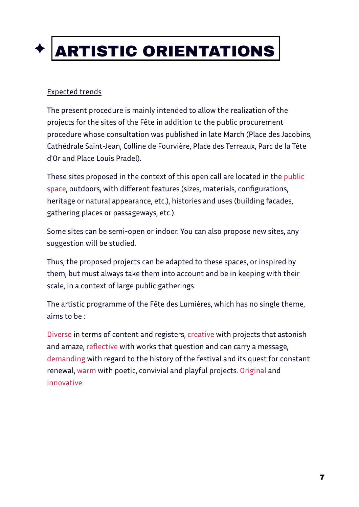# ARTISTIC ORIENTATIONS

#### Expected trends

The present procedure is mainly intended to allow the realization of the projects for the sites of the Fête in addition to the public procurement procedure whose consultation was published in late March (Place des Jacobins, Cathédrale Saint-Jean, Colline de Fourvière, Place des Terreaux, Parc de la Tête d'Or and Place Louis Pradel).

These sites proposed in the context of this open call are located in the public space, outdoors, with different features (sizes, materials, configurations, heritage or natural appearance, etc.), histories and uses (building facades, gathering places or passageways, etc.).

Some sites can be semi-open or indoor. You can also propose new sites, any suggestion will be studied.

Thus, the proposed projects can be adapted to these spaces, or inspired by them, but must always take them into account and be in keeping with their scale, in a context of large public gatherings.

The artistic programme of the Fête des Lumières, which has no single theme, aims to be :

Diverse in terms of content and registers, creative with projects that astonish and amaze, reflective with works that question and can carry a message, demanding with regard to the history of the festival and its quest for constant renewal, warm with poetic, convivial and playful projects. Original and innovative.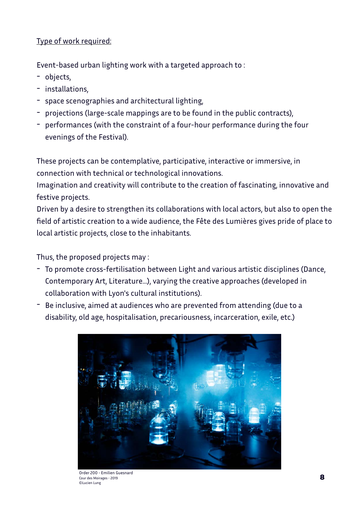#### Type of work required:

Event-based urban lighting work with a targeted approach to :

- objects,
- installations,
- space scenographies and architectural lighting,
- projections (large-scale mappings are to be found in the public contracts),
- performances (with the constraint of a four-hour performance during the four evenings of the Festival).

These projects can be contemplative, participative, interactive or immersive, in connection with technical or technological innovations.

Imagination and creativity will contribute to the creation of fascinating, innovative and festive projects.

Driven by a desire to strengthen its collaborations with local actors, but also to open the field of artistic creation to a wide audience, the Fête des Lumières gives pride of place to local artistic projects, close to the inhabitants.

Thus, the proposed projects may :

- To promote cross-fertilisation between Light and various artistic disciplines (Dance, Contemporary Art, Literature...), varying the creative approaches (developed in collaboration with Lyon's cultural institutions).
- Be inclusive, aimed at audiences who are prevented from attending (due to a disability, old age, hospitalisation, precariousness, incarceration, exile, etc.)



Order 200 - Emilien Guesnard Cour des Moirages - 2019 ©Lucien Lung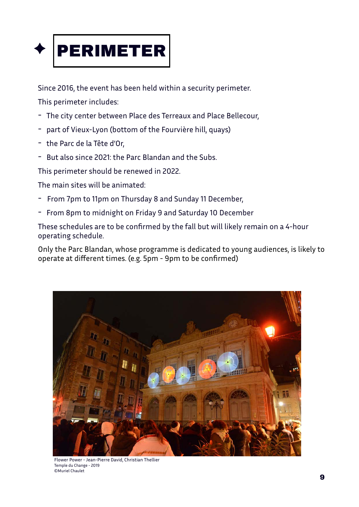

Since 2016, the event has been held within a security perimeter.

This perimeter includes:

- The city center between Place des Terreaux and Place Bellecour,
- part of Vieux-Lyon (bottom of the Fourvière hill, quays)
- the Parc de la Tête d'Or,
- But also since 2021: the Parc Blandan and the Subs.

This perimeter should be renewed in 2022.

The main sites will be animated:

- From 7pm to 11pm on Thursday 8 and Sunday 11 December,
- From 8pm to midnight on Friday 9 and Saturday 10 December

These schedules are to be confirmed by the fall but will likely remain on a 4-hour operating schedule.

Only the Parc Blandan, whose programme is dedicated to young audiences, is likely to operate at different times. (e.g. 5pm - 9pm to be confirmed)



Flower Power - Jean-Pierre David, Christian Thellier Temple du Change - 2019 ©Muriel Chaulet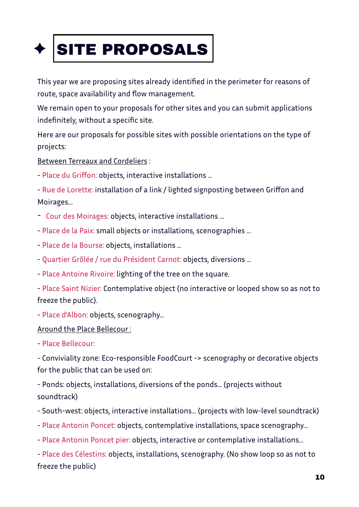

This year we are proposing sites already identified in the perimeter for reasons of route, space availability and flow management.

We remain open to your proposals for other sites and you can submit applications indefinitely, without a specific site.

Here are our proposals for possible sites with possible orientations on the type of projects:

Between Terreaux and Cordeliers :

- Place du Griffon: objects, interactive installations ...
- Rue de Lorette: installation of a link / lighted signposting between Griffon and Moirages...
- Cour des Moirages: objects, interactive installations ...
- Place de la Paix: small objects or installations, scenographies ...
- Place de la Bourse: objects, installations ...
- Quartier Grôlée / rue du Président Carnot: objects, diversions ...
- Place Antoine Rivoire: lighting of the tree on the square.

- Place Saint Nizier: Contemplative object (no interactive or looped show so as not to freeze the public).

- Place d'Albon: objects, scenography...

#### Around the Place Bellecour :

- Place Bellecour:

- Conviviality zone: Eco-responsible FoodCourt -> scenography or decorative objects for the public that can be used on:

- Ponds: objects, installations, diversions of the ponds... (projects without soundtrack)

- South-west: objects, interactive installations... (projects with low-level soundtrack)
- Place Antonin Poncet: objects, contemplative installations, space scenography...
- Place Antonin Poncet pier: objects, interactive or contemplative installations...

- Place des Célestins: objects, installations, scenography. (No show loop so as not to freeze the public)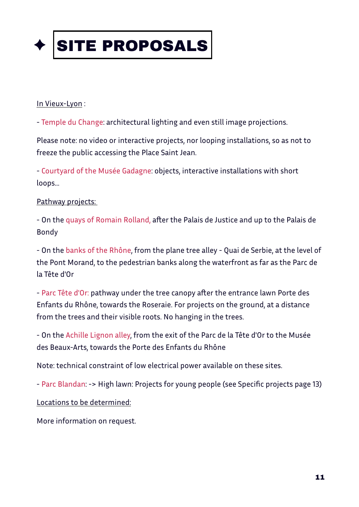

#### In Vieux-Lyon:

- Temple du Change: architectural lighting and even still image projections.

Please note: no video or interactive projects, nor looping installations, so as not to freeze the public accessing the Place Saint Jean.

- Courtyard of the Musée Gadagne: objects, interactive installations with short loops...

#### Pathway projects:

- On the quays of Romain Rolland, after the Palais de Justice and up to the Palais de Bondy

- On the banks of the Rhône, from the plane tree alley - Quai de Serbie, at the level of the Pont Morand, to the pedestrian banks along the waterfront as far as the Parc de la Tête d'Or

- Parc Tête d'Or: pathway under the tree canopy after the entrance lawn Porte des Enfants du Rhône, towards the Roseraie. For projects on the ground, at a distance from the trees and their visible roots. No hanging in the trees.

- On the Achille Lignon alley, from the exit of the Parc de la Tête d'Or to the Musée des Beaux-Arts, towards the Porte des Enfants du Rhône

Note: technical constraint of low electrical power available on these sites.

- Parc Blandan: -> High lawn: Projects for young people (see Specific projects page 13)

Locations to be determined:

More information on request.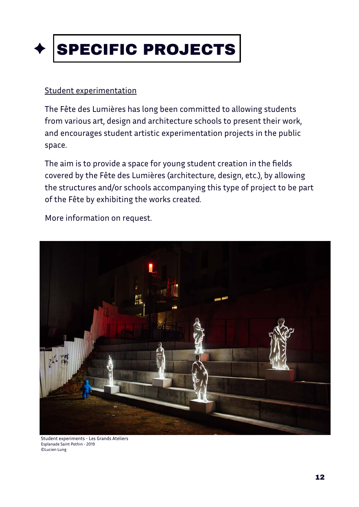

#### Student experimentation

The Fête des Lumières has long been committed to allowing students from various art, design and architecture schools to present their work, and encourages student artistic experimentation projects in the public space.

The aim is to provide a space for young student creation in the fields covered by the Fête des Lumières (architecture, design, etc.), by allowing the structures and/or schools accompanying this type of project to be part of the Fête by exhibiting the works created.

More information on request.



Student experiments - Les Grands Ateliers Esplanade Saint Pothin - 2019 ©Lucien Lung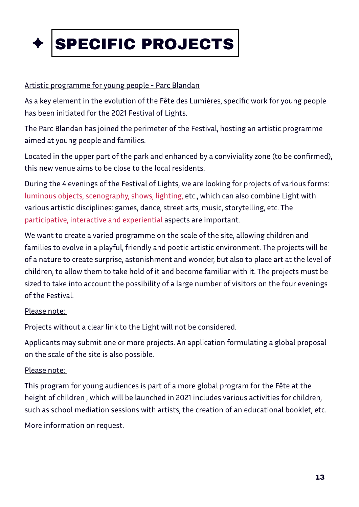

#### Artistic programme for young people - Parc Blandan

As a key element in the evolution of the Fête des Lumières, specific work for young people has been initiated for the 2021 Festival of Lights.

The Parc Blandan has joined the perimeter of the Festival, hosting an artistic programme aimed at young people and families.

Located in the upper part of the park and enhanced by a conviviality zone (to be confirmed), this new venue aims to be close to the local residents.

During the 4 evenings of the Festival of Lights, we are looking for projects of various forms: luminous objects, scenography, shows, lighting, etc., which can also combine Light with various artistic disciplines: games, dance, street arts, music, storytelling, etc. The participative, interactive and experiential aspects are important.

We want to create a varied programme on the scale of the site, allowing children and families to evolve in a playful, friendly and poetic artistic environment. The projects will be of a nature to create surprise, astonishment and wonder, but also to place art at the level of children, to allow them to take hold of it and become familiar with it. The projects must be sized to take into account the possibility of a large number of visitors on the four evenings of the Festival.

#### Please note:

Projects without a clear link to the Light will not be considered.

Applicants may submit one or more projects. An application formulating a global proposal on the scale of the site is also possible.

#### Please note:

This program for young audiences is part of a more global program for the Fête at the height of children , which will be launched in 2021 includes various activities for children, such as school mediation sessions with artists, the creation of an educational booklet, etc.

More information on request.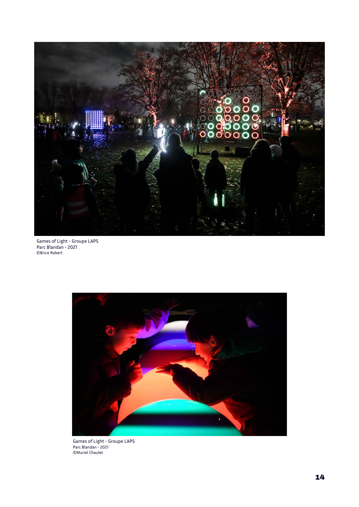

Games of Light - Groupe LAPS Parc Blandan - 2021 ©Brice Robert



Games of Light - Groupe LAPS Parc Blandan - 2021 ©Muriel Chaulet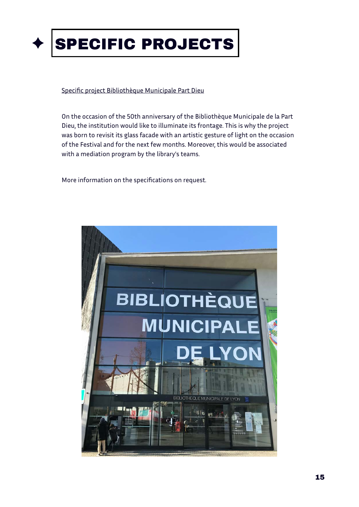

#### Specific project Bibliothèque Municipale Part Dieu

On the occasion of the 50th anniversary of the Bibliothèque Municipale de la Part Dieu, the institution would like to illuminate its frontage. This is why the project was born to revisit its glass facade with an artistic gesture of light on the occasion of the Festival and for the next few months. Moreover, this would be associated with a mediation program by the library's teams.

More information on the specifications on request.

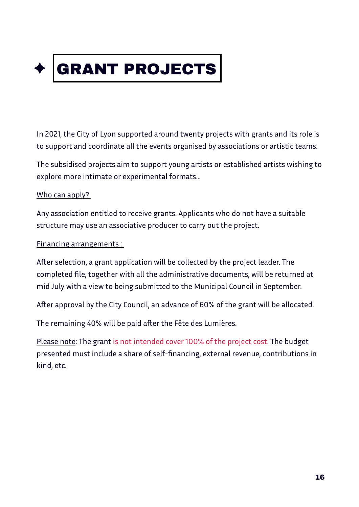

In 2021, the City of Lyon supported around twenty projects with grants and its role is to support and coordinate all the events organised by associations or artistic teams.

The subsidised projects aim to support young artists or established artists wishing to explore more intimate or experimental formats...

#### Who can apply?

Any association entitled to receive grants. Applicants who do not have a suitable structure may use an associative producer to carry out the project.

#### Financing arrangements :

After selection, a grant application will be collected by the project leader. The completed file, together with all the administrative documents, will be returned at mid July with a view to being submitted to the Municipal Council in September.

After approval by the City Council, an advance of 60% of the grant will be allocated.

The remaining 40% will be paid after the Fête des Lumières.

Please note: The grant is not intended cover 100% of the project cost. The budget presented must include a share of self-financing, external revenue, contributions in kind, etc.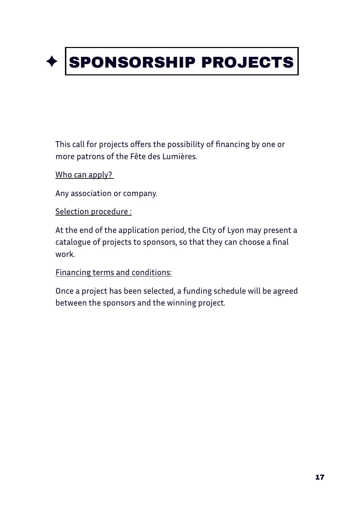

This call for projects offers the possibility of financing by one or more patrons of the Fête des Lumières.

Who can apply?

Any association or company.

Selection procedure :

At the end of the application period, the City of Lyon may present a catalogue of projects to sponsors, so that they can choose a final work.

Financing terms and conditions:

Once a project has been selected, a funding schedule will be agreed between the sponsors and the winning project.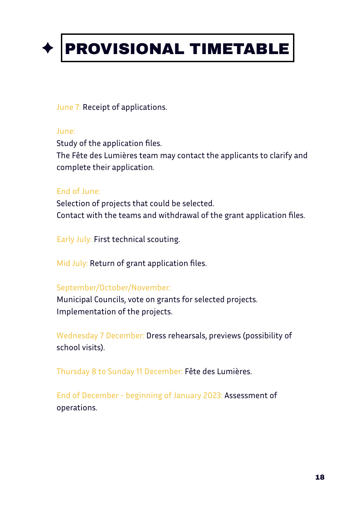

### PROVISIONAL TIMETABLE

June 7: Receipt of applications.

#### June:

Study of the application files. The Fête des Lumières team may contact the applicants to clarify and complete their application.

#### End of June:

Selection of projects that could be selected. Contact with the teams and withdrawal of the grant application files.

Early July: First technical scouting.

Mid July: Return of grant application files.

#### September/October/November:

Municipal Councils, vote on grants for selected projects. Implementation of the projects.

Wednesday 7 December: Dress rehearsals, previews (possibility of school visits).

Thursday 8 to Sunday 11 December: Fête des Lumières.

End of December - beginning of January 2023: Assessment of operations.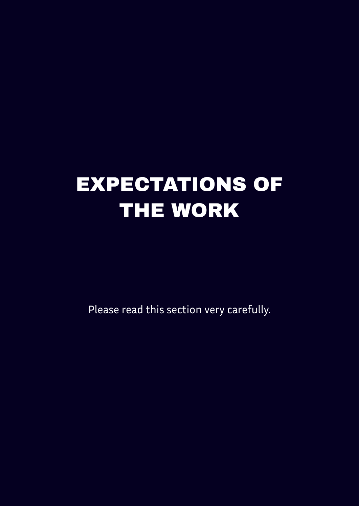# EXPECTATIONS OF THE WORK

Please read this section very carefully.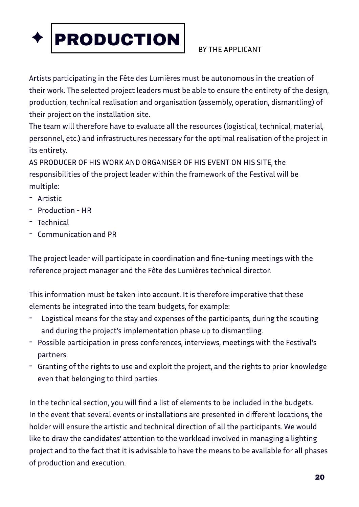

#### BY THE APPLICANT

Artists participating in the Fête des Lumières must be autonomous in the creation of their work. The selected project leaders must be able to ensure the entirety of the design, production, technical realisation and organisation (assembly, operation, dismantling) of their project on the installation site.

The team will therefore have to evaluate all the resources (logistical, technical, material, personnel, etc.) and infrastructures necessary for the optimal realisation of the project in its entirety.

AS PRODUCER OF HIS WORK AND ORGANISER OF HIS EVENT ON HIS SITE, the responsibilities of the project leader within the framework of the Festival will be multiple:

- Artistic
- Production HR
- Technical
- Communication and PR

The project leader will participate in coordination and fine-tuning meetings with the reference project manager and the Fête des Lumières technical director.

This information must be taken into account. It is therefore imperative that these elements be integrated into the team budgets, for example:

- Logistical means for the stay and expenses of the participants, during the scouting and during the project's implementation phase up to dismantling.
- Possible participation in press conferences, interviews, meetings with the Festival's partners.
- Granting of the rights to use and exploit the project, and the rights to prior knowledge even that belonging to third parties.

In the technical section, you will find a list of elements to be included in the budgets. In the event that several events or installations are presented in different locations, the holder will ensure the artistic and technical direction of all the participants. We would like to draw the candidates' attention to the workload involved in managing a lighting project and to the fact that it is advisable to have the means to be available for all phases of production and execution.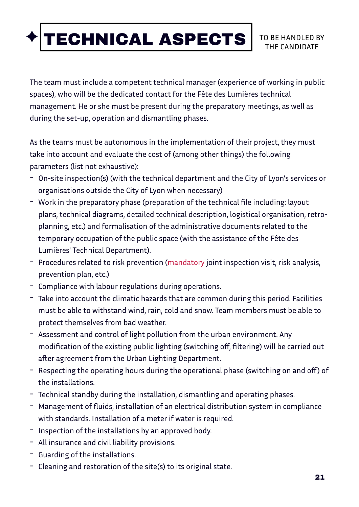## TECHNICAL ASPECTS TO BE HANDLED BY

The team must include a competent technical manager (experience of working in public spaces), who will be the dedicated contact for the Fête des Lumières technical management. He or she must be present during the preparatory meetings, as well as during the set-up, operation and dismantling phases.

As the teams must be autonomous in the implementation of their project, they must take into account and evaluate the cost of (among other things) the following parameters (list not exhaustive):

- On-site inspection(s) (with the technical department and the City of Lyon's services or organisations outside the City of Lyon when necessary)
- Work in the preparatory phase (preparation of the technical file including: layout plans, technical diagrams, detailed technical description, logistical organisation, retroplanning, etc.) and formalisation of the administrative documents related to the temporary occupation of the public space (with the assistance of the Fête des Lumières' Technical Department).
- Procedures related to risk prevention (mandatory joint inspection visit, risk analysis, prevention plan, etc.)
- Compliance with labour regulations during operations.
- Take into account the climatic hazards that are common during this period. Facilities must be able to withstand wind, rain, cold and snow. Team members must be able to protect themselves from bad weather.
- Assessment and control of light pollution from the urban environment. Any modification of the existing public lighting (switching off, filtering) will be carried out after agreement from the Urban Lighting Department.
- Respecting the operating hours during the operational phase (switching on and off) of the installations.
- Technical standby during the installation, dismantling and operating phases.
- Management of fluids, installation of an electrical distribution system in compliance with standards. Installation of a meter if water is required.
- Inspection of the installations by an approved body.
- All insurance and civil liability provisions.
- Guarding of the installations.
- Cleaning and restoration of the site(s) to its original state.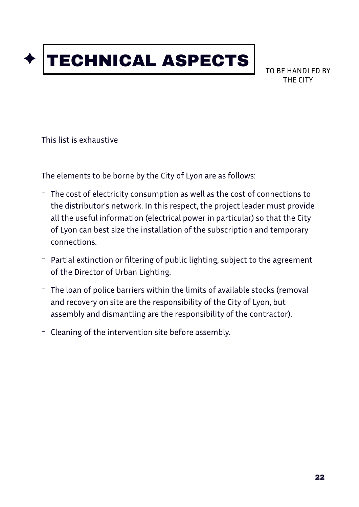## TECHNICAL ASPECTS

TO BE HANDLED BY THE CITY

This list is exhaustive

The elements to be borne by the City of Lyon are as follows:

- The cost of electricity consumption as well as the cost of connections to the distributor's network. In this respect, the project leader must provide all the useful information (electrical power in particular) so that the City of Lyon can best size the installation of the subscription and temporary connections.
- Partial extinction or filtering of public lighting, subject to the agreement of the Director of Urban Lighting.
- The loan of police barriers within the limits of available stocks (removal and recovery on site are the responsibility of the City of Lyon, but assembly and dismantling are the responsibility of the contractor).
- Cleaning of the intervention site before assembly.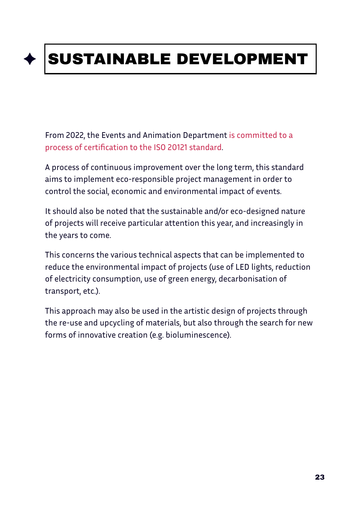# SUSTAINABLE DEVELOPMENT

From 2022, the Events and Animation Department is committed to a process of certification to the ISO 20121 standard.

A process of continuous improvement over the long term, this standard aims to implement eco-responsible project management in order to control the social, economic and environmental impact of events.

It should also be noted that the sustainable and/or eco-designed nature of projects will receive particular attention this year, and increasingly in the years to come.

This concerns the various technical aspects that can be implemented to reduce the environmental impact of projects (use of LED lights, reduction of electricity consumption, use of green energy, decarbonisation of transport, etc.).

This approach may also be used in the artistic design of projects through the re-use and upcycling of materials, but also through the search for new forms of innovative creation (e.g. bioluminescence).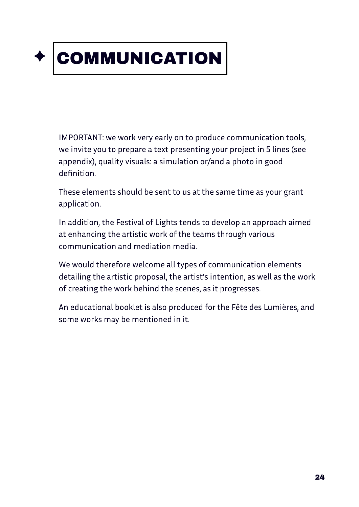

## COMMUNICATION

IMPORTANT: we work very early on to produce communication tools, we invite you to prepare a text presenting your project in 5 lines (see appendix), quality visuals: a simulation or/and a photo in good definition.

These elements should be sent to us at the same time as your grant application.

In addition, the Festival of Lights tends to develop an approach aimed at enhancing the artistic work of the teams through various communication and mediation media.

We would therefore welcome all types of communication elements detailing the artistic proposal, the artist's intention, as well as the work of creating the work behind the scenes, as it progresses.

An educational booklet is also produced for the Fête des Lumières, and some works may be mentioned in it.